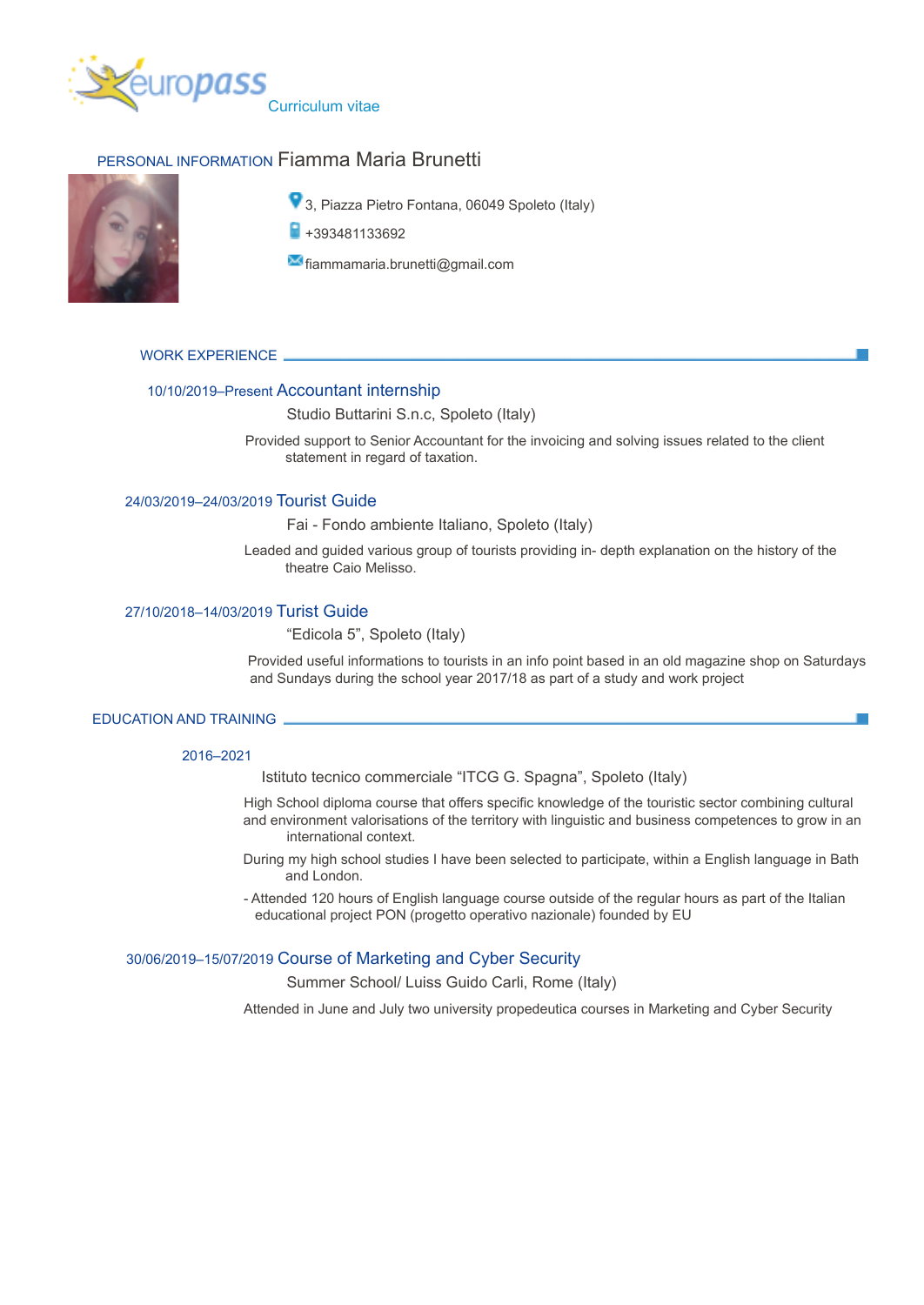

# PERSONAL INFORMATION Fiamma Maria Brunetti



- **9** 3. Piazza Pietro Fontana, 06049 Spoleto (Italy)
- $\blacksquare$  +393481133692

 $\bowtie$  fiammamaria.brunetti@gmail.com

WORK EXPERIENCE

#### 10/10/2019–Present Accountant internship

## Studio Buttarini S.n.c, Spoleto (Italy)

Provided support to Senior Accountant for the invoicing and solving issues related to the client statement in regard of taxation.

## 24/03/2019–24/03/2019 Tourist Guide

Fai - Fondo ambiente Italiano, Spoleto (Italy)

Leaded and guided various group of tourists providing in- depth explanation on the history of the theatre Caio Melisso.

## 27/10/2018–14/03/2019 Turist Guide

## "Edicola 5", Spoleto (Italy)

Provided useful informations to tourists in an info point based in an old magazine shop on Saturdays and Sundays during the school year 2017/18 as part of a study and work project

#### EDUCATION AND TRAINING

#### 2016–2021

Istituto tecnico commerciale "ITCG G. Spagna", Spoleto (Italy)

High School diploma course that offers specific knowledge of the touristic sector combining cultural and environment valorisations of the territory with linguistic and business competences to grow in an international context.

During my high school studies I have been selected to participate, within a English language in Bath and London.

- Attended 120 hours of English language course outside of the regular hours as part of the Italian educational project PON (progetto operativo nazionale) founded by EU

## 30/06/2019–15/07/2019 Course of Marketing and Cyber Security

Summer School/ Luiss Guido Carli, Rome (Italy)

Attended in June and July two university propedeutica courses in Marketing and Cyber Security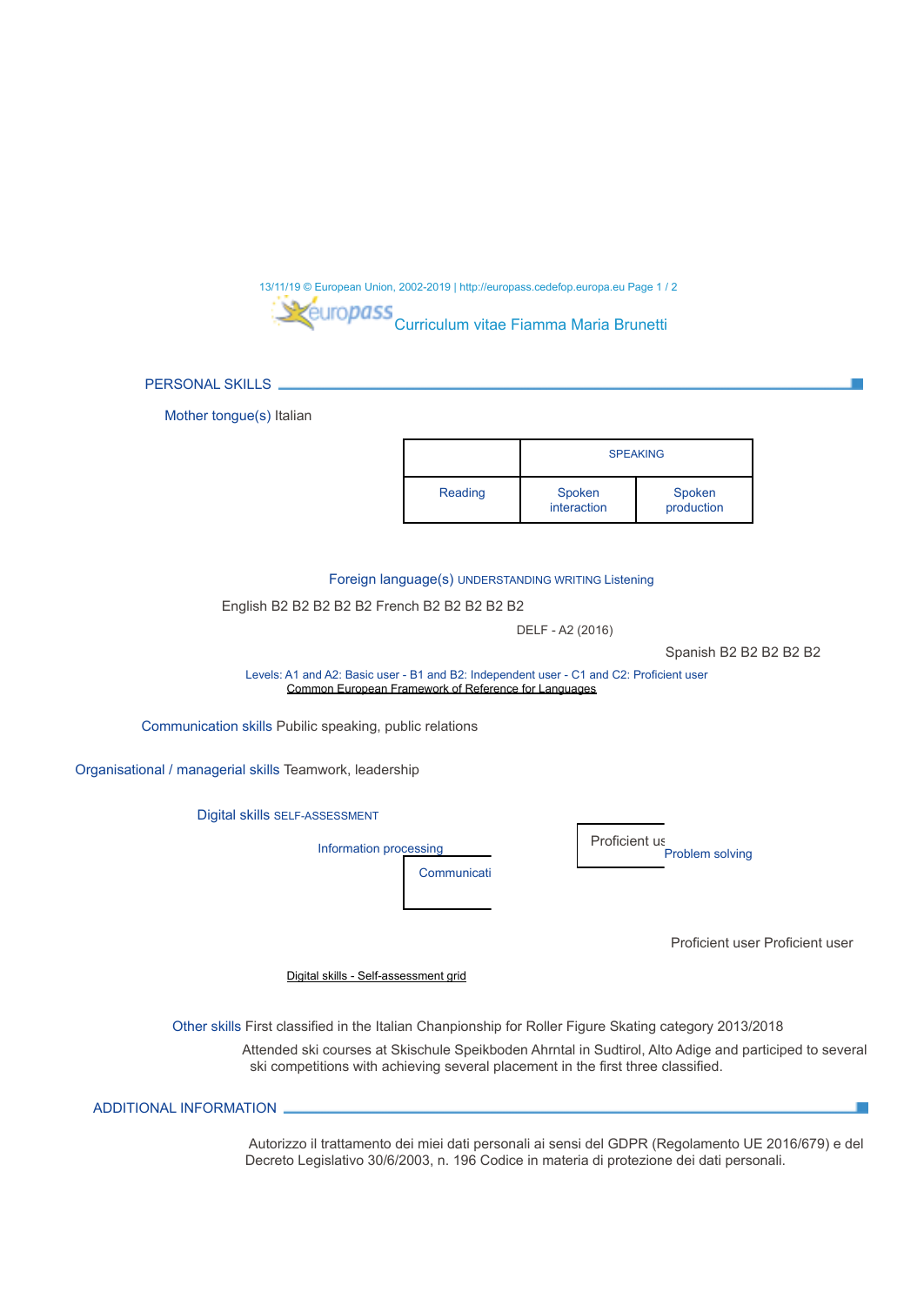13/11/19 © European Union, 2002-2019 | http://europass.cedefop.europa.eu Page 1 / 2 Curriculum vitae Fiamma Maria Brunetti

PERSONAL SKILLS

Mother tongue(s) Italian

|         | <b>SPEAKING</b>       |                      |
|---------|-----------------------|----------------------|
| Reading | Spoken<br>interaction | Spoken<br>production |

Foreign language(s) UNDERSTANDING WRITING Listening

English B2 B2 B2 B2 B2 French B2 B2 B2 B2 B2

DELF - A2 (2016)

Spanish B2 B2 B2 B2 B2

Levels: A1 and A2: Basic user - B1 and B2: Independent user - C1 and C2: Proficient user Common European Framework of Reference for Languages

Communication skills Pubilic speaking, public relations

Organisational / managerial skills Teamwork, leadership

Digital skills SELF-ASSESSMENT

Information processing

Proficient us Problem solving

Proficient user Proficient user

 $\blacksquare$ 

Digital skills - Self-assessment grid

Other skills First classified in the Italian Chanpionship for Roller Figure Skating category 2013/2018

Communicati

Attended ski courses at Skischule Speikboden Ahrntal in Sudtirol, Alto Adige and participed to several ski competitions with achieving several placement in the first three classified.

ADDITIONAL INFORMATION

Autorizzo il trattamento dei miei dati personali ai sensi del GDPR (Regolamento UE 2016/679) e del Decreto Legislativo 30/6/2003, n. 196 Codice in materia di protezione dei dati personali.